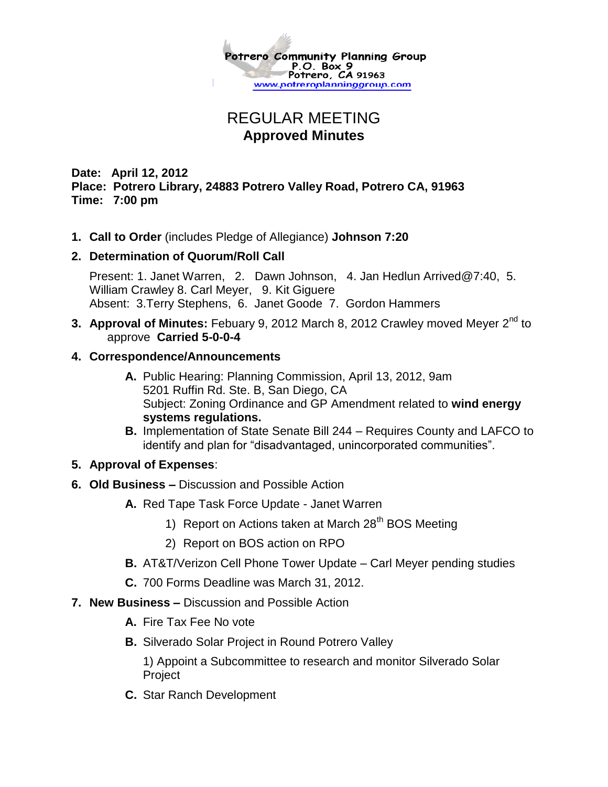

# REGULAR MEETING **Approved Minutes**

## **Date: April 12, 2012 Place: Potrero Library, 24883 Potrero Valley Road, Potrero CA, 91963 Time: 7:00 pm**

**1. Call to Order** (includes Pledge of Allegiance) **Johnson 7:20**

### **2. Determination of Quorum/Roll Call**

Present: 1. Janet Warren, 2. Dawn Johnson, 4. Jan Hedlun Arrived@7:40, 5. William Crawley 8. Carl Meyer, 9. Kit Giguere Absent: 3.Terry Stephens, 6. Janet Goode 7. Gordon Hammers

# **3. Approval of Minutes:** Febuary 9, 2012 March 8, 2012 Crawley moved Meyer 2<sup>nd</sup> to approve **Carried 5-0-0-4**

### **4. Correspondence/Announcements**

- **A.** Public Hearing: Planning Commission, April 13, 2012, 9am 5201 Ruffin Rd. Ste. B, San Diego, CA Subject: Zoning Ordinance and GP Amendment related to **wind energy systems regulations.**
- **B.** Implementation of State Senate Bill 244 Requires County and LAFCO to identify and plan for "disadvantaged, unincorporated communities".

## **5. Approval of Expenses**:

- **6. Old Business –** Discussion and Possible Action
	- **A.** Red Tape Task Force Update Janet Warren
		- 1) Report on Actions taken at March  $28<sup>th</sup>$  BOS Meeting
		- 2) Report on BOS action on RPO
	- **B.** AT&T/Verizon Cell Phone Tower Update Carl Meyer pending studies
	- **C.** 700 Forms Deadline was March 31, 2012.
- **7. New Business –** Discussion and Possible Action
	- **A.** Fire Tax Fee No vote
	- **B.** Silverado Solar Project in Round Potrero Valley

1) Appoint a Subcommittee to research and monitor Silverado Solar Project

**C.** Star Ranch Development